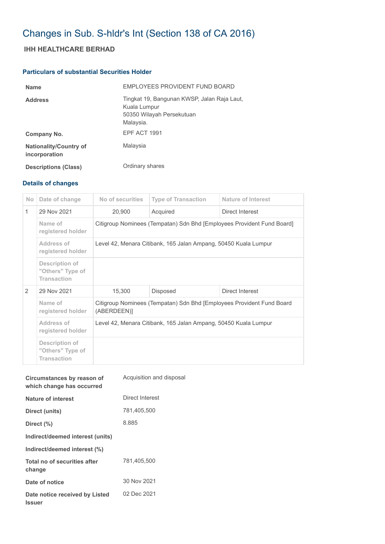# Changes in Sub. S-hldr's Int (Section 138 of CA 2016)

## **IHH HEALTHCARE BERHAD**

## **Particulars of substantial Securities Holder**

| <b>Name</b>                                    | EMPLOYEES PROVIDENT FUND BOARD                                                                        |
|------------------------------------------------|-------------------------------------------------------------------------------------------------------|
| <b>Address</b>                                 | Tingkat 19, Bangunan KWSP, Jalan Raja Laut,<br>Kuala Lumpur<br>50350 Wilayah Persekutuan<br>Malaysia. |
| Company No.                                    | EPF ACT 1991                                                                                          |
| <b>Nationality/Country of</b><br>incorporation | Malaysia                                                                                              |
| <b>Descriptions (Class)</b>                    | Ordinary shares                                                                                       |

## **Details of changes**

| N <sub>o</sub> | Date of change                                           | No of securities                                                                     | <b>Type of Transaction</b> | Nature of Interest |  |
|----------------|----------------------------------------------------------|--------------------------------------------------------------------------------------|----------------------------|--------------------|--|
| $\mathbf{1}$   | 29 Nov 2021                                              | 20,900                                                                               | Acquired                   | Direct Interest    |  |
|                | Name of<br>registered holder                             | Citigroup Nominees (Tempatan) Sdn Bhd [Employees Provident Fund Board]               |                            |                    |  |
|                | Address of<br>registered holder                          | Level 42, Menara Citibank, 165 Jalan Ampang, 50450 Kuala Lumpur                      |                            |                    |  |
|                | Description of<br>"Others" Type of<br><b>Transaction</b> |                                                                                      |                            |                    |  |
| 2              | 29 Nov 2021                                              | 15,300                                                                               | Disposed                   | Direct Interest    |  |
|                | Name of<br>registered holder                             | Citigroup Nominees (Tempatan) Sdn Bhd [Employees Provident Fund Board<br>(ABERDEEN)] |                            |                    |  |
|                | Address of<br>registered holder                          | Level 42, Menara Citibank, 165 Jalan Ampang, 50450 Kuala Lumpur                      |                            |                    |  |
|                | Description of<br>"Others" Type of<br><b>Transaction</b> |                                                                                      |                            |                    |  |

| Circumstances by reason of<br>which change has occurred | Acquisition and disposal |
|---------------------------------------------------------|--------------------------|
| Nature of interest                                      | Direct Interest          |
| Direct (units)                                          | 781,405,500              |
| Direct (%)                                              | 8.885                    |
| Indirect/deemed interest (units)                        |                          |
| Indirect/deemed interest (%)                            |                          |
| Total no of securities after<br>change                  | 781.405.500              |
| Date of notice                                          | 30 Nov 2021              |
| Date notice received by Listed<br><b>Issuer</b>         | 02 Dec 2021              |